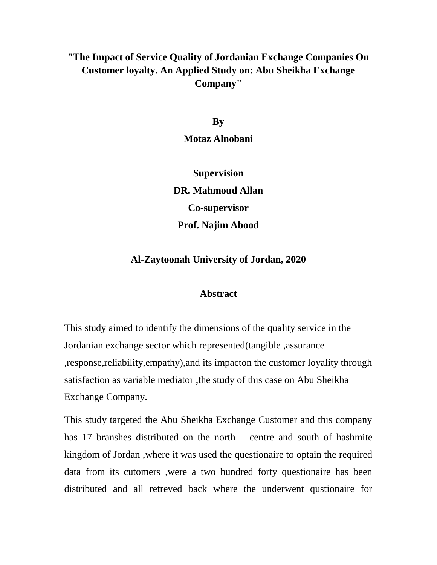## **"The Impact of Service Quality of Jordanian Exchange Companies On Customer loyalty. An Applied Study on: Abu Sheikha Exchange Company"**

**By Motaz Alnobani**

**Supervision DR. Mahmoud Allan Co-supervisor Prof. Najim Abood**

## **Al-Zaytoonah University of Jordan, 2020**

## **Abstract**

This study aimed to identify the dimensions of the quality service in the Jordanian exchange sector which represented(tangible ,assurance ,response,reliability,empathy),and its impacton the customer loyality through satisfaction as variable mediator ,the study of this case on Abu Sheikha Exchange Company.

This study targeted the Abu Sheikha Exchange Customer and this company has 17 branshes distributed on the north – centre and south of hashmite kingdom of Jordan ,where it was used the questionaire to optain the required data from its cutomers ,were a two hundred forty questionaire has been distributed and all retreved back where the underwent qustionaire for